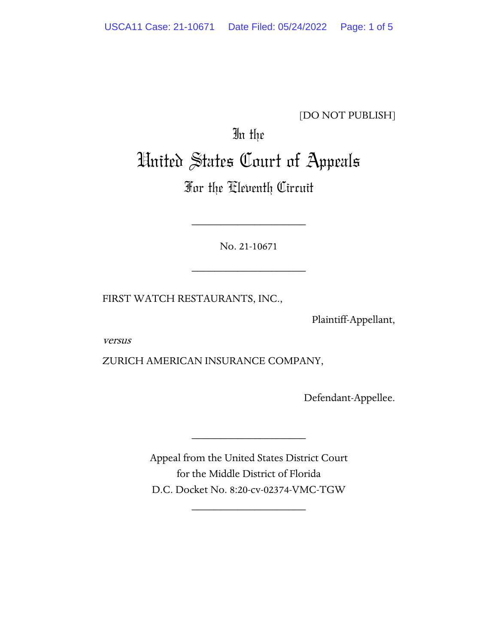### [DO NOT PUBLISH]

## In the

# United States Court of Appeals

### For the Eleventh Circuit

No. 21-10671

\_\_\_\_\_\_\_\_\_\_\_\_\_\_\_\_\_\_\_\_

\_\_\_\_\_\_\_\_\_\_\_\_\_\_\_\_\_\_\_\_

FIRST WATCH RESTAURANTS, INC.,

Plaintiff-Appellant,

versus

ZURICH AMERICAN INSURANCE COMPANY,

Defendant-Appellee.

Appeal from the United States District Court for the Middle District of Florida D.C. Docket No. 8:20-cv-02374-VMC-TGW

\_\_\_\_\_\_\_\_\_\_\_\_\_\_\_\_\_\_\_\_

\_\_\_\_\_\_\_\_\_\_\_\_\_\_\_\_\_\_\_\_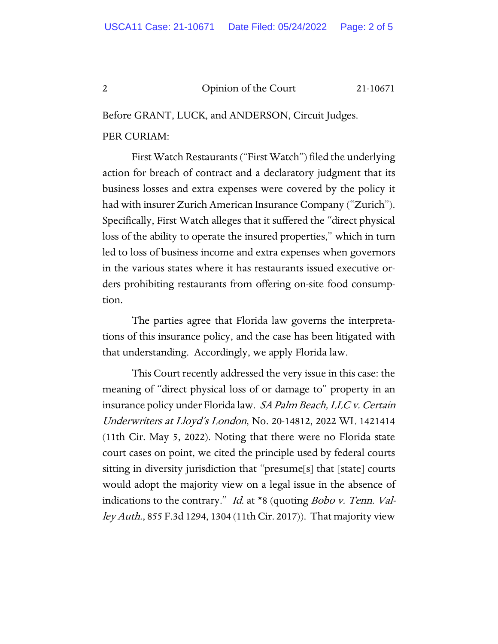#### 2 Opinion of the Court 21-10671

Before GRANT, LUCK, and ANDERSON, Circuit Judges. PER CURIAM:

First Watch Restaurants ("First Watch") filed the underlying action for breach of contract and a declaratory judgment that its business losses and extra expenses were covered by the policy it had with insurer Zurich American Insurance Company ("Zurich"). Specifically, First Watch alleges that it suffered the "direct physical loss of the ability to operate the insured properties," which in turn led to loss of business income and extra expenses when governors in the various states where it has restaurants issued executive orders prohibiting restaurants from offering on-site food consumption.

The parties agree that Florida law governs the interpretations of this insurance policy, and the case has been litigated with that understanding. Accordingly, we apply Florida law.

This Court recently addressed the very issue in this case: the meaning of "direct physical loss of or damage to" property in an insurance policy under Florida law. SA Palm Beach, LLC v. Certain Underwriters at Lloyd's London, No. 20-14812, 2022 WL 1421414 (11th Cir. May 5, 2022). Noting that there were no Florida state court cases on point, we cited the principle used by federal courts sitting in diversity jurisdiction that "presume[s] that [state] courts would adopt the majority view on a legal issue in the absence of indications to the contrary." *Id.* at  $*$ 8 (quoting *Bobo v. Tenn. Valley Auth.*, 855 F.3d 1294, 1304 (11th Cir. 2017)). That majority view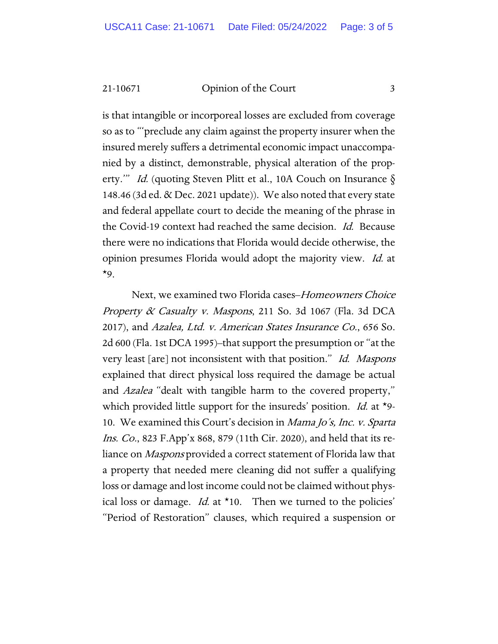21-10671 Opinion of the Court 3

is that intangible or incorporeal losses are excluded from coverage so as to "'preclude any claim against the property insurer when the insured merely suffers a detrimental economic impact unaccompanied by a distinct, demonstrable, physical alteration of the property." Id. (quoting Steven Plitt et al., 10A Couch on Insurance  $\delta$ 148.46 (3d ed. & Dec. 2021 update)). We also noted that every state and federal appellate court to decide the meaning of the phrase in the Covid-19 context had reached the same decision. Id. Because there were no indications that Florida would decide otherwise, the opinion presumes Florida would adopt the majority view. Id. at \*9.

Next, we examined two Florida cases–Homeowners Choice Property  $\&$  Casualty v. Maspons, 211 So. 3d 1067 (Fla. 3d DCA 2017), and Azalea, Ltd. v. American States Insurance Co., 656 So. 2d 600 (Fla. 1st DCA 1995)–that support the presumption or "at the very least [are] not inconsistent with that position." Id. Maspons explained that direct physical loss required the damage be actual and *Azalea* "dealt with tangible harm to the covered property," which provided little support for the insureds' position. Id. at \*9-10. We examined this Court's decision in Mama Jo's, Inc. v. Sparta Ins. Co., 823 F.App'x 868, 879 (11th Cir. 2020), and held that its reliance on Maspons provided a correct statement of Florida law that a property that needed mere cleaning did not suffer a qualifying loss or damage and lost income could not be claimed without physical loss or damage. *Id.* at  $*10$ . Then we turned to the policies' "Period of Restoration" clauses, which required a suspension or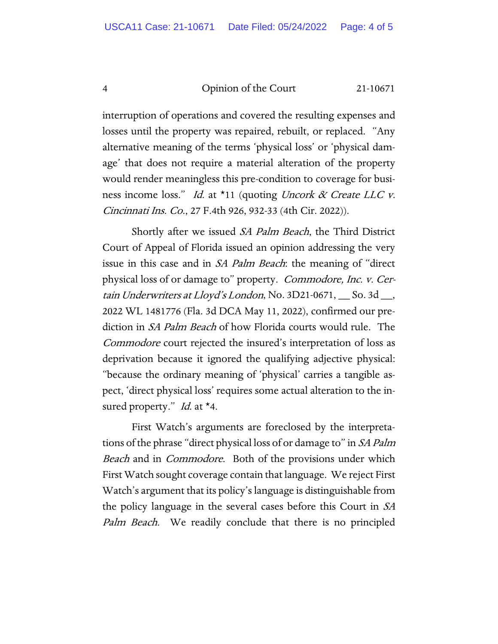4 Opinion of the Court 21-10671

interruption of operations and covered the resulting expenses and losses until the property was repaired, rebuilt, or replaced. "Any alternative meaning of the terms 'physical loss' or 'physical damage' that does not require a material alteration of the property would render meaningless this pre-condition to coverage for business income loss." Id. at \*11 (quoting Uncork & Create LLC v. Cincinnati Ins. Co., 27 F.4th 926, 932-33 (4th Cir. 2022)).

Shortly after we issued SA Palm Beach, the Third District Court of Appeal of Florida issued an opinion addressing the very issue in this case and in *SA Palm Beach*: the meaning of "direct" physical loss of or damage to" property. Commodore, Inc. v. Certain Underwriters at Lloyd's London, No. 3D21-0671, So. 3d \_\_, 2022 WL 1481776 (Fla. 3d DCA May 11, 2022), confirmed our prediction in *SA Palm Beach* of how Florida courts would rule. The Commodore court rejected the insured's interpretation of loss as deprivation because it ignored the qualifying adjective physical: "because the ordinary meaning of 'physical' carries a tangible aspect, 'direct physical loss' requires some actual alteration to the insured property." *Id.* at \*4.

First Watch's arguments are foreclosed by the interpretations of the phrase "direct physical loss of or damage to" in SA Palm Beach and in *Commodore*. Both of the provisions under which First Watch sought coverage contain that language. We reject First Watch's argument that its policy's language is distinguishable from the policy language in the several cases before this Court in SA Palm Beach. We readily conclude that there is no principled